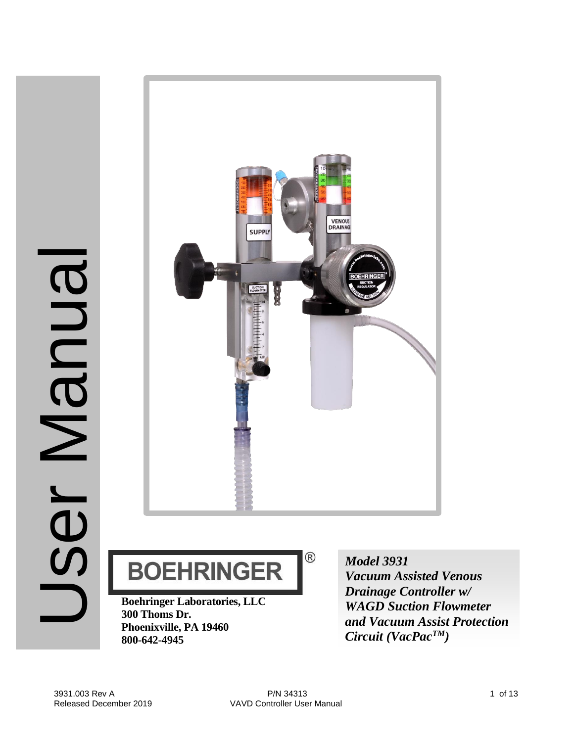



**BOEHRINGER** 

**Boehringer Laboratories, LLC 300 Thoms Dr. Phoenixville, PA 19460 800-642-4945**

*Model 3931 Vacuum Assisted Venous Drainage Controller w/ WAGD Suction Flowmeter and Vacuum Assist Protection Circuit (VacPacTM)*

 $^{\circledR}$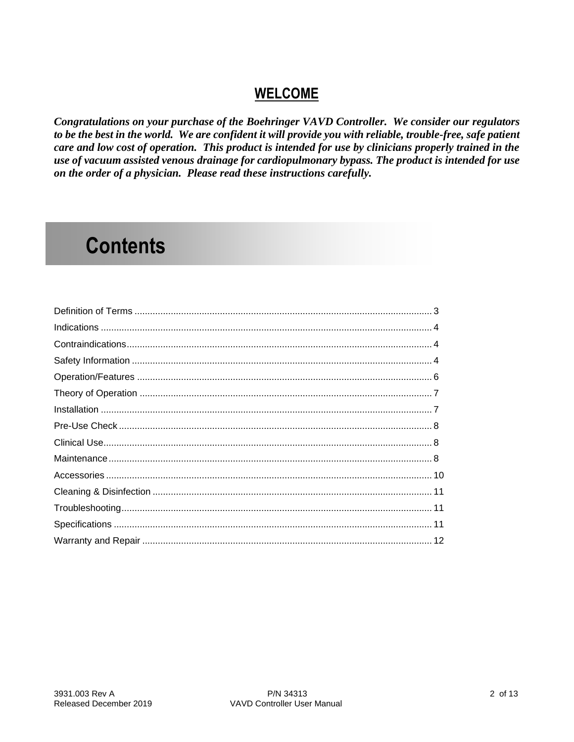## **WELCOME**

Congratulations on your purchase of the Boehringer VAVD Controller. We consider our regulators to be the best in the world. We are confident it will provide you with reliable, trouble-free, safe patient care and low cost of operation. This product is intended for use by clinicians properly trained in the use of vacuum assisted venous drainage for cardiopulmonary bypass. The product is intended for use on the order of a physician. Please read these instructions carefully.

## **Contents**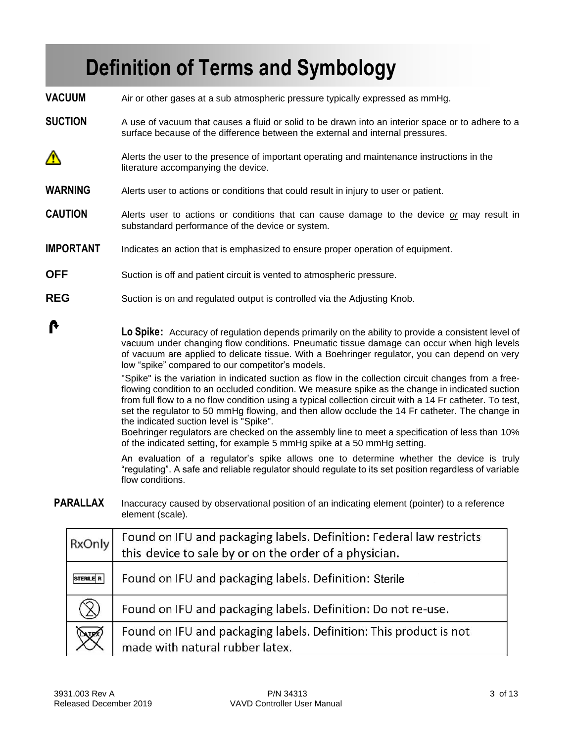## **Definition of Terms and Symbology**

**VACUUM** Air or other gases at a sub atmospheric pressure typically expressed as mmHg.

- **SUCTION** A use of vacuum that causes a fluid or solid to be drawn into an interior space or to adhere to a surface because of the difference between the external and internal pressures.
- ∧ Alerts the user to the presence of important operating and maintenance instructions in the literature accompanying the device.
- **WARNING** Alerts user to actions or conditions that could result in injury to user or patient.
- **CAUTION** Alerts user to actions or conditions that can cause damage to the device *or* may result in substandard performance of the device or system.
- **IMPORTANT** Indicates an action that is emphasized to ensure proper operation of equipment.
- **OFF** Suction is off and patient circuit is vented to atmospheric pressure.
- **REG** Suction is on and regulated output is controlled via the Adjusting Knob.

**Lo Spike:** Accuracy of regulation depends primarily on the ability to provide a consistent level of vacuum under changing flow conditions. Pneumatic tissue damage can occur when high levels of vacuum are applied to delicate tissue. With a Boehringer regulator, you can depend on very low "spike" compared to our competitor's models.

"Spike" is the variation in indicated suction as flow in the collection circuit changes from a freeflowing condition to an occluded condition. We measure spike as the change in indicated suction from full flow to a no flow condition using a typical collection circuit with a 14 Fr catheter. To test, set the regulator to 50 mmHg flowing, and then allow occlude the 14 Fr catheter. The change in the indicated suction level is "Spike".

Boehringer regulators are checked on the assembly line to meet a specification of less than 10% of the indicated setting, for example 5 mmHg spike at a 50 mmHg setting.

An evaluation of a regulator's spike allows one to determine whether the device is truly "regulating". A safe and reliable regulator should regulate to its set position regardless of variable flow conditions.

**PARALLAX** Inaccuracy caused by observational position of an indicating element (pointer) to a reference element (scale).

| RxOnly           | Found on IFU and packaging labels. Definition: Federal law restricts<br>this device to sale by or on the order of a physician. |
|------------------|--------------------------------------------------------------------------------------------------------------------------------|
| <b>STERILE R</b> | Found on IFU and packaging labels. Definition: Sterile                                                                         |
| $\mathsf{X}$     | Found on IFU and packaging labels. Definition: Do not re-use.                                                                  |
| <b>UZ</b>        | Found on IFU and packaging labels. Definition: This product is not<br>made with natural rubber latex.                          |

A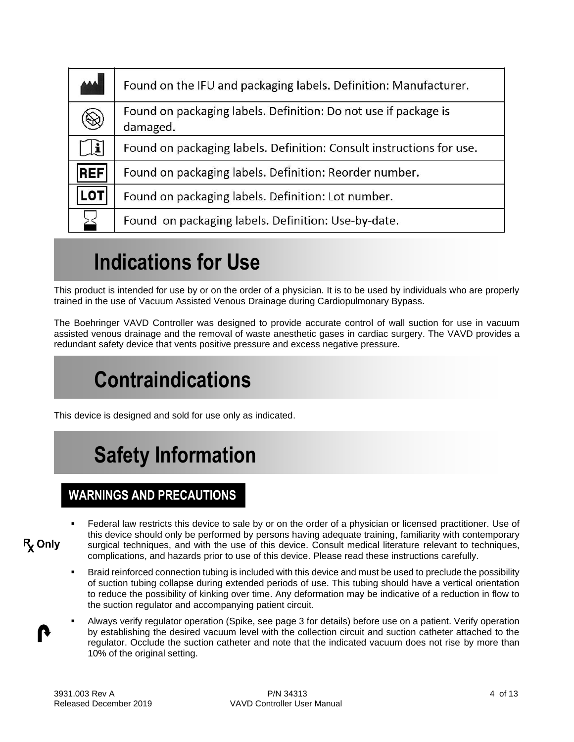| المم         | Found on the IFU and packaging labels. Definition: Manufacturer.            |  |  |
|--------------|-----------------------------------------------------------------------------|--|--|
| $\bigotimes$ | Found on packaging labels. Definition: Do not use if package is<br>damaged. |  |  |
| i            | Found on packaging labels. Definition: Consult instructions for use.        |  |  |
| <b>REF</b>   | Found on packaging labels. Definition: Reorder number.                      |  |  |
| .OT          | Found on packaging labels. Definition: Lot number.                          |  |  |
|              | Found on packaging labels. Definition: Use-by-date.                         |  |  |

# **Indications for Use**

This product is intended for use by or on the order of a physician. It is to be used by individuals who are properly trained in the use of Vacuum Assisted Venous Drainage during Cardiopulmonary Bypass.

The Boehringer VAVD Controller was designed to provide accurate control of wall suction for use in vacuum assisted venous drainage and the removal of waste anesthetic gases in cardiac surgery. The VAVD provides a redundant safety device that vents positive pressure and excess negative pressure.

# **Contraindications**

This device is designed and sold for use only as indicated.

# **Safety Information**

### **WARNINGS AND PRECAUTIONS**

- Federal law restricts this device to sale by or on the order of a physician or licensed practitioner. Use of this device should only be performed by persons having adequate training, familiarity with contemporary  $R_{\rm x}$  Only surgical techniques, and with the use of this device. Consult medical literature relevant to techniques, complications, and hazards prior to use of this device. Please read these instructions carefully.
	- Braid reinforced connection tubing is included with this device and must be used to preclude the possibility of suction tubing collapse during extended periods of use. This tubing should have a vertical orientation to reduce the possibility of kinking over time. Any deformation may be indicative of a reduction in flow to the suction regulator and accompanying patient circuit.
	- Always verify regulator operation (Spike, see page 3 for details) before use on a patient. Verify operation by establishing the desired vacuum level with the collection circuit and suction catheter attached to the regulator. Occlude the suction catheter and note that the indicated vacuum does not rise by more than 10% of the original setting.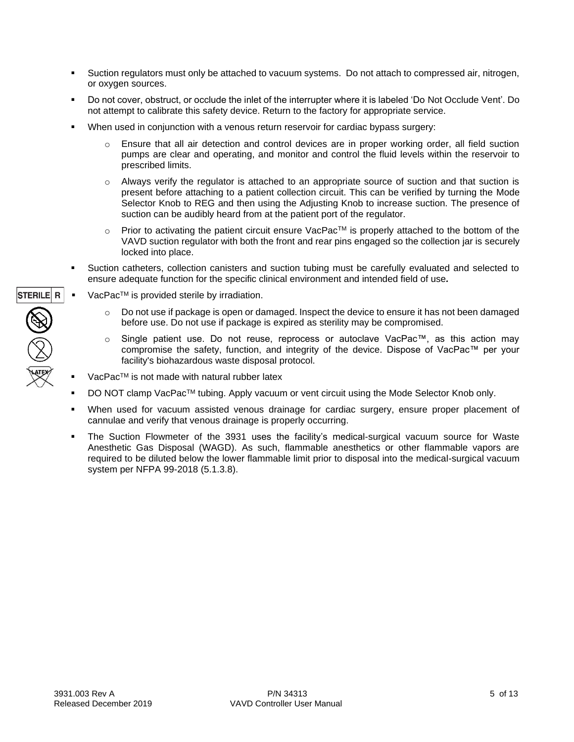- **EXECT** Suction regulators must only be attached to vacuum systems. Do not attach to compressed air, nitrogen, or oxygen sources.
- Do not cover, obstruct, or occlude the inlet of the interrupter where it is labeled 'Do Not Occlude Vent'. Do not attempt to calibrate this safety device. Return to the factory for appropriate service.
- When used in conjunction with a venous return reservoir for cardiac bypass surgery:
	- $\circ$  Ensure that all air detection and control devices are in proper working order, all field suction pumps are clear and operating, and monitor and control the fluid levels within the reservoir to prescribed limits.
	- $\circ$  Always verify the regulator is attached to an appropriate source of suction and that suction is present before attaching to a patient collection circuit. This can be verified by turning the Mode Selector Knob to REG and then using the Adjusting Knob to increase suction. The presence of suction can be audibly heard from at the patient port of the regulator.
	- $\circ$  Prior to activating the patient circuit ensure VacPac<sup>TM</sup> is properly attached to the bottom of the VAVD suction regulator with both the front and rear pins engaged so the collection jar is securely locked into place.
- Suction catheters, collection canisters and suction tubing must be carefully evaluated and selected to ensure adequate function for the specific clinical environment and intended field of use*.*
- $VacPac<sup>TM</sup>$  is provided sterile by irradiation.
	- $\circ$  Do not use if package is open or damaged. Inspect the device to ensure it has not been damaged before use. Do not use if package is expired as sterility may be compromised.
	- o Single patient use. Do not reuse, reprocess or autoclave VacPac™, as this action may compromise the safety, function, and integrity of the device. Dispose of VacPac™ per your facility's biohazardous waste disposal protocol.
- $VacPac<sup>TM</sup>$  is not made with natural rubber latex
- DO NOT clamp VacPac™ tubing. Apply vacuum or vent circuit using the Mode Selector Knob only.
- When used for vacuum assisted venous drainage for cardiac surgery, ensure proper placement of cannulae and verify that venous drainage is properly occurring.
- The Suction Flowmeter of the 3931 uses the facility's medical-surgical vacuum source for Waste Anesthetic Gas Disposal (WAGD). As such, flammable anesthetics or other flammable vapors are required to be diluted below the lower flammable limit prior to disposal into the medical-surgical vacuum system per NFPA 99-2018 (5.1.3.8).

STERILE R  $\bigotimes_{\mathbb{Z}}\bigotimes_{\mathbb{Z}}$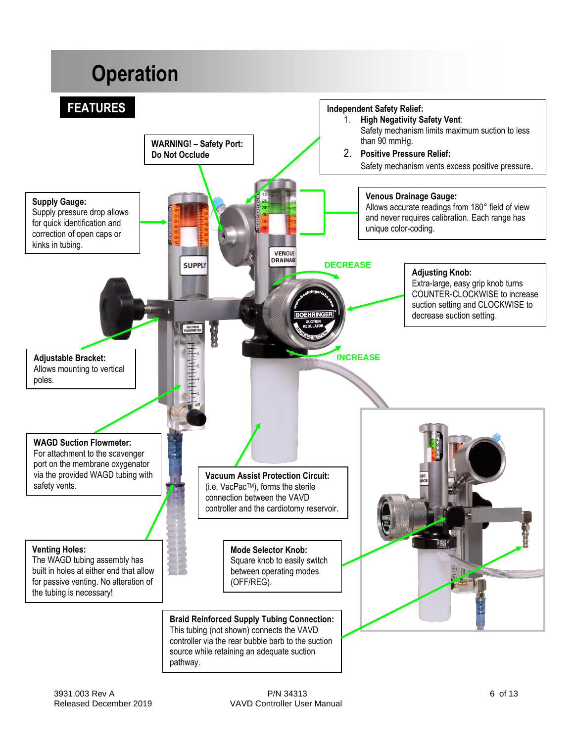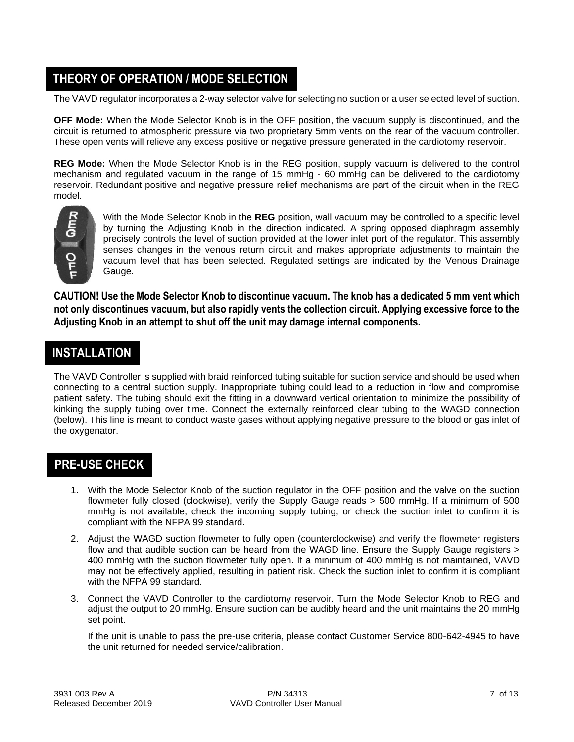## **THEORY OF OPERATION / MODE SELECTION**

The VAVD regulator incorporates a 2-way selector valve for selecting no suction or a user selected level of suction.

**OFF Mode:** When the Mode Selector Knob is in the OFF position, the vacuum supply is discontinued, and the circuit is returned to atmospheric pressure via two proprietary 5mm vents on the rear of the vacuum controller. These open vents will relieve any excess positive or negative pressure generated in the cardiotomy reservoir.

**REG Mode:** When the Mode Selector Knob is in the REG position, supply vacuum is delivered to the control mechanism and regulated vacuum in the range of 15 mmHg - 60 mmHg can be delivered to the cardiotomy reservoir. Redundant positive and negative pressure relief mechanisms are part of the circuit when in the REG model.



With the Mode Selector Knob in the **REG** position, wall vacuum may be controlled to a specific level by turning the Adjusting Knob in the direction indicated. A spring opposed diaphragm assembly precisely controls the level of suction provided at the lower inlet port of the regulator. This assembly senses changes in the venous return circuit and makes appropriate adjustments to maintain the vacuum level that has been selected. Regulated settings are indicated by the Venous Drainage Gauge.

**CAUTION! Use the Mode Selector Knob to discontinue vacuum. The knob has a dedicated 5 mm vent which not only discontinues vacuum, but also rapidly vents the collection circuit. Applying excessive force to the Adjusting Knob in an attempt to shut off the unit may damage internal components.**

### **INSTALLATION**

The VAVD Controller is supplied with braid reinforced tubing suitable for suction service and should be used when connecting to a central suction supply. Inappropriate tubing could lead to a reduction in flow and compromise patient safety. The tubing should exit the fitting in a downward vertical orientation to minimize the possibility of kinking the supply tubing over time. Connect the externally reinforced clear tubing to the WAGD connection (below). This line is meant to conduct waste gases without applying negative pressure to the blood or gas inlet of the oxygenator.

## **PRE-USE CHECK**

- 1. With the Mode Selector Knob of the suction regulator in the OFF position and the valve on the suction flowmeter fully closed (clockwise), verify the Supply Gauge reads > 500 mmHg. If a minimum of 500 mmHg is not available, check the incoming supply tubing, or check the suction inlet to confirm it is compliant with the NFPA 99 standard.
- 2. Adjust the WAGD suction flowmeter to fully open (counterclockwise) and verify the flowmeter registers flow and that audible suction can be heard from the WAGD line. Ensure the Supply Gauge registers > 400 mmHg with the suction flowmeter fully open. If a minimum of 400 mmHg is not maintained, VAVD may not be effectively applied, resulting in patient risk. Check the suction inlet to confirm it is compliant with the NFPA 99 standard.
- 3. Connect the VAVD Controller to the cardiotomy reservoir. Turn the Mode Selector Knob to REG and adjust the output to 20 mmHg. Ensure suction can be audibly heard and the unit maintains the 20 mmHg set point.

If the unit is unable to pass the pre-use criteria, please contact Customer Service 800-642-4945 to have the unit returned for needed service/calibration.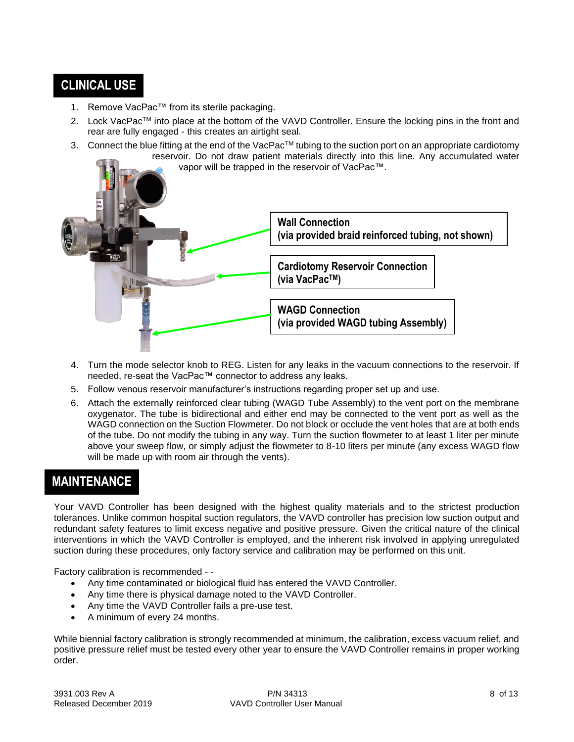### **CLINICAL USE**

- 1. Remove VacPac™ from its sterile packaging.
- 2. Lock VacPac™ into place at the bottom of the VAVD Controller. Ensure the locking pins in the front and rear are fully engaged - this creates an airtight seal.
- 3. Connect the blue fitting at the end of the VacPac™ tubing to the suction port on an appropriate cardiotomy reservoir. Do not draw patient materials directly into this line. Any accumulated water vapor will be trapped in the reservoir of VacPac™.



- 4. Turn the mode selector knob to REG. Listen for any leaks in the vacuum connections to the reservoir. If needed, re-seat the VacPac™ connector to address any leaks.
- 5. Follow venous reservoir manufacturer's instructions regarding proper set up and use.
- 6. Attach the externally reinforced clear tubing (WAGD Tube Assembly) to the vent port on the membrane oxygenator. The tube is bidirectional and either end may be connected to the vent port as well as the WAGD connection on the Suction Flowmeter. Do not block or occlude the vent holes that are at both ends of the tube. Do not modify the tubing in any way. Turn the suction flowmeter to at least 1 liter per minute above your sweep flow, or simply adjust the flowmeter to 8-10 liters per minute (any excess WAGD flow will be made up with room air through the vents).

## **MAINTENANCE**

Your VAVD Controller has been designed with the highest quality materials and to the strictest production tolerances. Unlike common hospital suction regulators, the VAVD controller has precision low suction output and redundant safety features to limit excess negative and positive pressure. Given the critical nature of the clinical interventions in which the VAVD Controller is employed, and the inherent risk involved in applying unregulated suction during these procedures, only factory service and calibration may be performed on this unit.

Factory calibration is recommended - -

- Any time contaminated or biological fluid has entered the VAVD Controller.
- Any time there is physical damage noted to the VAVD Controller.
- Any time the VAVD Controller fails a pre-use test.
- A minimum of every 24 months.

While biennial factory calibration is strongly recommended at minimum, the calibration, excess vacuum relief, and positive pressure relief must be tested every other year to ensure the VAVD Controller remains in proper working order.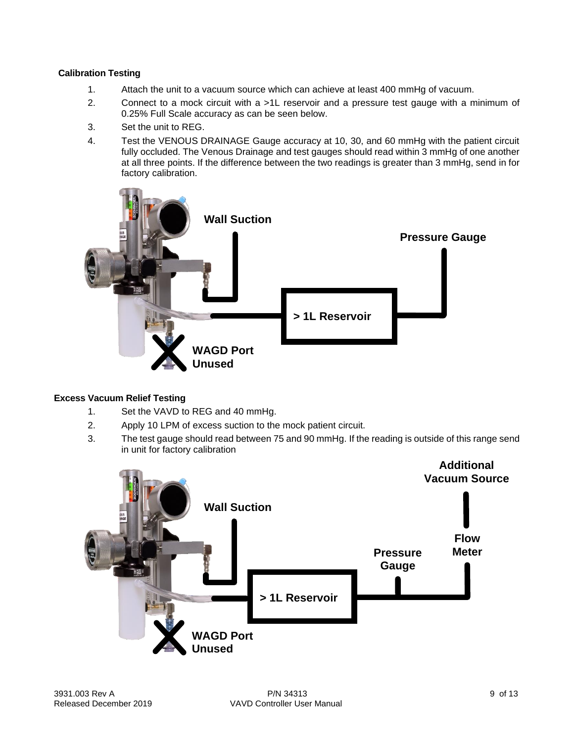#### **Calibration Testing**

- 1. Attach the unit to a vacuum source which can achieve at least 400 mmHg of vacuum.
- 2. Connect to a mock circuit with a >1L reservoir and a pressure test gauge with a minimum of 0.25% Full Scale accuracy as can be seen below.
- 3. Set the unit to REG.
- 4. Test the VENOUS DRAINAGE Gauge accuracy at 10, 30, and 60 mmHg with the patient circuit fully occluded. The Venous Drainage and test gauges should read within 3 mmHg of one another at all three points. If the difference between the two readings is greater than 3 mmHg, send in for factory calibration.



#### **Excess Vacuum Relief Testing**

- 1. Set the VAVD to REG and 40 mmHg.
- 2. Apply 10 LPM of excess suction to the mock patient circuit.
- 3. The test gauge should read between 75 and 90 mmHg. If the reading is outside of this range send in unit for factory calibration

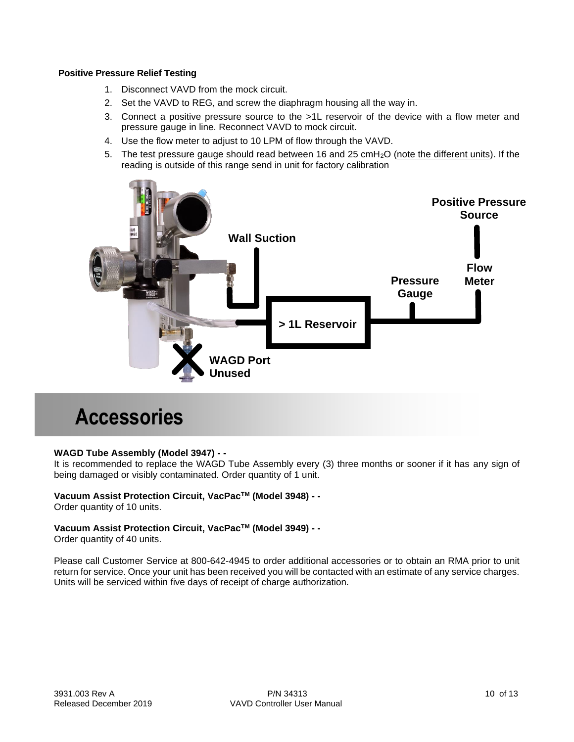#### **Positive Pressure Relief Testing**

- 1. Disconnect VAVD from the mock circuit.
- 2. Set the VAVD to REG, and screw the diaphragm housing all the way in.
- 3. Connect a positive pressure source to the >1L reservoir of the device with a flow meter and pressure gauge in line. Reconnect VAVD to mock circuit.
- 4. Use the flow meter to adjust to 10 LPM of flow through the VAVD.
- 5. The test pressure gauge should read between 16 and 25 cmH<sub>2</sub>O (note the different units). If the reading is outside of this range send in unit for factory calibration



## **Accessories**

#### **WAGD Tube Assembly (Model 3947) - -**

It is recommended to replace the WAGD Tube Assembly every (3) three months or sooner if it has any sign of being damaged or visibly contaminated. Order quantity of 1 unit.

#### **Vacuum Assist Protection Circuit, VacPacTM (Model 3948) - -**

Order quantity of 10 units.

#### **Vacuum Assist Protection Circuit, VacPacTM (Model 3949) - -**

Order quantity of 40 units.

Please call Customer Service at 800-642-4945 to order additional accessories or to obtain an RMA prior to unit return for service. Once your unit has been received you will be contacted with an estimate of any service charges. Units will be serviced within five days of receipt of charge authorization.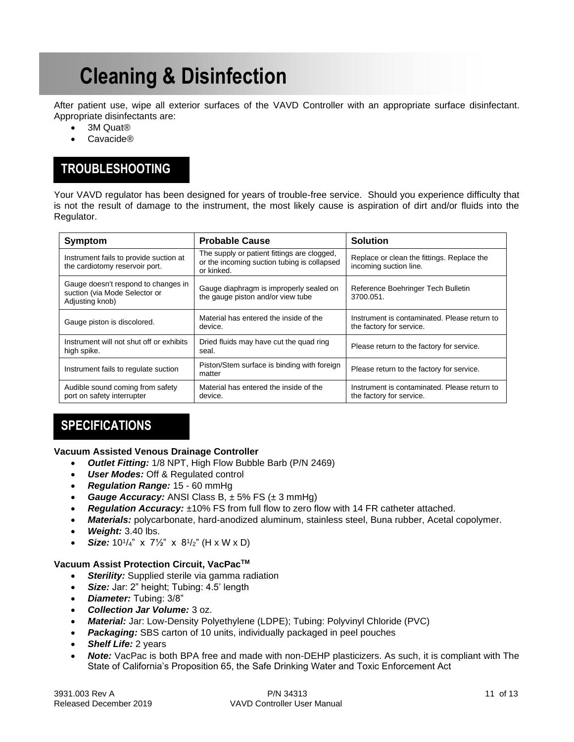## **Cleaning & Disinfection**

After patient use, wipe all exterior surfaces of the VAVD Controller with an appropriate surface disinfectant. Appropriate disinfectants are:

- 3M Quat®
- Cavacide®

## **TROUBLESHOOTING**

Your VAVD regulator has been designed for years of trouble-free service. Should you experience difficulty that is not the result of damage to the instrument, the most likely cause is aspiration of dirt and/or fluids into the Regulator.

| Symptom                                                                                 | <b>Probable Cause</b>                                                                                    | <b>Solution</b>                                                          |
|-----------------------------------------------------------------------------------------|----------------------------------------------------------------------------------------------------------|--------------------------------------------------------------------------|
| Instrument fails to provide suction at<br>the cardiotomy reservoir port.                | The supply or patient fittings are clogged,<br>or the incoming suction tubing is collapsed<br>or kinked. | Replace or clean the fittings. Replace the<br>incoming suction line.     |
| Gauge doesn't respond to changes in<br>suction (via Mode Selector or<br>Adjusting knob) | Gauge diaphragm is improperly sealed on<br>the gauge piston and/or view tube                             | Reference Boehringer Tech Bulletin<br>3700.051.                          |
| Gauge piston is discolored.                                                             | Material has entered the inside of the<br>device.                                                        | Instrument is contaminated. Please return to<br>the factory for service. |
| Instrument will not shut off or exhibits<br>high spike.                                 | Dried fluids may have cut the quad ring<br>seal.                                                         | Please return to the factory for service.                                |
| Instrument fails to regulate suction                                                    | Piston/Stem surface is binding with foreign<br>matter                                                    | Please return to the factory for service.                                |
| Audible sound coming from safety<br>port on safety interrupter                          | Material has entered the inside of the<br>device.                                                        | Instrument is contaminated. Please return to<br>the factory for service. |

### **SPECIFICATIONS**

#### **Vacuum Assisted Venous Drainage Controller**

- *Outlet Fitting:* 1/8 NPT, High Flow Bubble Barb (P/N 2469)
- *User Modes:* Off & Regulated control
- *Regulation Range:* 15 60 mmHg
- *Gauge Accuracy:* ANSI Class B, ± 5% FS (± 3 mmHg)
- *Regulation Accuracy:* ±10% FS from full flow to zero flow with 14 FR catheter attached.
- *Materials:* polycarbonate, hard-anodized aluminum, stainless steel, Buna rubber, Acetal copolymer.
- *Weight:* 3.40 lbs.
- **Size:**  $10^{1/4}$ " x  $7\frac{1}{2}$ " x  $8^{1/2}$ " (H x W x D)

#### **Vacuum Assist Protection Circuit, VacPacTM**

- *Sterility:* Supplied sterile via gamma radiation
- **Size:** Jar: 2" height; Tubing: 4.5' length
	- *Diameter:* Tubing: 3/8"
	- *Collection Jar Volume:* 3 oz.
	- *Material:* Jar: Low-Density Polyethylene (LDPE); Tubing: Polyvinyl Chloride (PVC)
	- **Packaging:** SBS carton of 10 units, individually packaged in peel pouches
	- *Shelf Life:* 2 years
	- *Note:* VacPac is both BPA free and made with non-DEHP plasticizers. As such, it is compliant with The State of California's Proposition 65, the Safe Drinking Water and Toxic Enforcement Act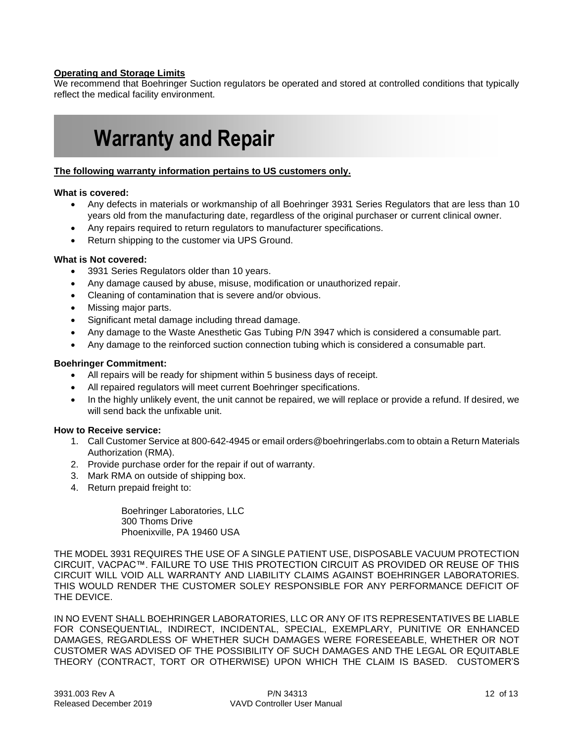#### **Operating and Storage Limits**

We recommend that Boehringer Suction regulators be operated and stored at controlled conditions that typically reflect the medical facility environment.

## **Warranty and Repair**

#### **The following warranty information pertains to US customers only.**

#### **What is covered:**

- Any defects in materials or workmanship of all Boehringer 3931 Series Regulators that are less than 10 years old from the manufacturing date, regardless of the original purchaser or current clinical owner.
- Any repairs required to return regulators to manufacturer specifications.
- Return shipping to the customer via UPS Ground.

#### **What is Not covered:**

- 3931 Series Regulators older than 10 years.
- Any damage caused by abuse, misuse, modification or unauthorized repair.
- Cleaning of contamination that is severe and/or obvious.
- Missing major parts.
- Significant metal damage including thread damage.
- Any damage to the Waste Anesthetic Gas Tubing P/N 3947 which is considered a consumable part.
- Any damage to the reinforced suction connection tubing which is considered a consumable part.

#### **Boehringer Commitment:**

- All repairs will be ready for shipment within 5 business days of receipt.
- All repaired regulators will meet current Boehringer specifications.
- In the highly unlikely event, the unit cannot be repaired, we will replace or provide a refund. If desired, we will send back the unfixable unit.

#### **How to Receive service:**

- 1. Call Customer Service at 800-642-4945 or email orders@boehringerlabs.com to obtain a Return Materials Authorization (RMA).
- 2. Provide purchase order for the repair if out of warranty.
- 3. Mark RMA on outside of shipping box.
- 4. Return prepaid freight to:

Boehringer Laboratories, LLC 300 Thoms Drive Phoenixville, PA 19460 USA

THE MODEL 3931 REQUIRES THE USE OF A SINGLE PATIENT USE, DISPOSABLE VACUUM PROTECTION CIRCUIT, VACPAC™. FAILURE TO USE THIS PROTECTION CIRCUIT AS PROVIDED OR REUSE OF THIS CIRCUIT WILL VOID ALL WARRANTY AND LIABILITY CLAIMS AGAINST BOEHRINGER LABORATORIES. THIS WOULD RENDER THE CUSTOMER SOLEY RESPONSIBLE FOR ANY PERFORMANCE DEFICIT OF THE DEVICE.

IN NO EVENT SHALL BOEHRINGER LABORATORIES, LLC OR ANY OF ITS REPRESENTATIVES BE LIABLE FOR CONSEQUENTIAL, INDIRECT, INCIDENTAL, SPECIAL, EXEMPLARY, PUNITIVE OR ENHANCED DAMAGES, REGARDLESS OF WHETHER SUCH DAMAGES WERE FORESEEABLE, WHETHER OR NOT CUSTOMER WAS ADVISED OF THE POSSIBILITY OF SUCH DAMAGES AND THE LEGAL OR EQUITABLE THEORY (CONTRACT, TORT OR OTHERWISE) UPON WHICH THE CLAIM IS BASED. CUSTOMER'S